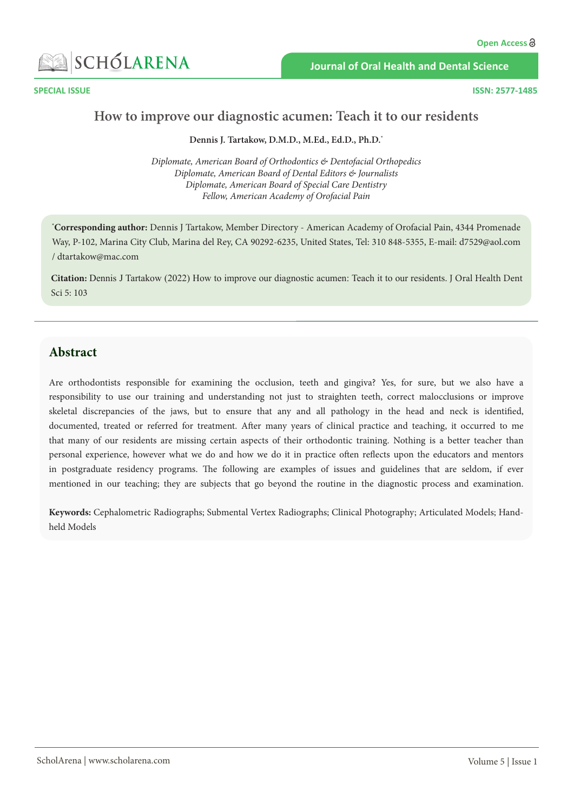

**Journal of Oral Health and Dental Science**

**SPECIAL ISSUE ISSN: 2577-1485**

## **How to improve our diagnostic acumen: Teach it to our residents**

#### **Dennis J. Tartakow, D.M.D., M.Ed., Ed.D., Ph.D.\***

*Diplomate, American Board of Orthodontics & Dentofacial Orthopedics Diplomate, American Board of Dental Editors & Journalists Diplomate, American Board of Special Care Dentistry Fellow, American Academy of Orofacial Pain*

**\* Corresponding author:** Dennis J Tartakow, Member Directory - American Academy of Orofacial Pain, 4344 Promenade Way, P-102, Marina City Club, Marina del Rey, CA 90292-6235, United States, Tel: 310 848-5355, E-mail: d7529@aol.com / [dtartakow@mac.com](mailto:dtartakow@mac.com)

**Citation:** Dennis J Tartakow (2022) How to improve our diagnostic acumen: Teach it to our residents. J Oral Health Dent Sci 5: 103

### **Abstract**

Are orthodontists responsible for examining the occlusion, teeth and gingiva? Yes, for sure, but we also have a responsibility to use our training and understanding not just to straighten teeth, correct malocclusions or improve skeletal discrepancies of the jaws, but to ensure that any and all pathology in the head and neck is identified, documented, treated or referred for treatment. After many years of clinical practice and teaching, it occurred to me that many of our residents are missing certain aspects of their orthodontic training. Nothing is a better teacher than personal experience, however what we do and how we do it in practice often reflects upon the educators and mentors in postgraduate residency programs. The following are examples of issues and guidelines that are seldom, if ever mentioned in our teaching; they are subjects that go beyond the routine in the diagnostic process and examination.

**Keywords:** Cephalometric Radiographs; Submental Vertex Radiographs; Clinical Photography; Articulated Models; Handheld Models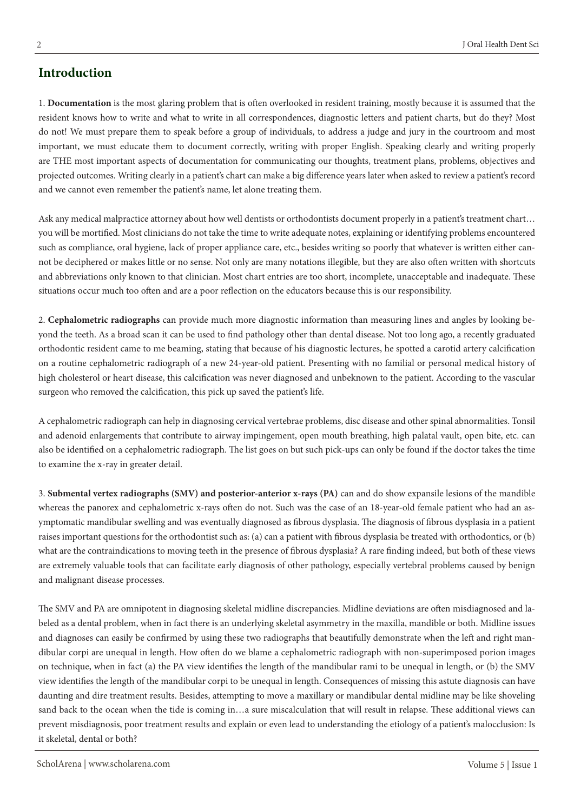# **Introduction**

1. **Documentation** is the most glaring problem that is often overlooked in resident training, mostly because it is assumed that the resident knows how to write and what to write in all correspondences, diagnostic letters and patient charts, but do they? Most do not! We must prepare them to speak before a group of individuals, to address a judge and jury in the courtroom and most important, we must educate them to document correctly, writing with proper English. Speaking clearly and writing properly are THE most important aspects of documentation for communicating our thoughts, treatment plans, problems, objectives and projected outcomes. Writing clearly in a patient's chart can make a big difference years later when asked to review a patient's record and we cannot even remember the patient's name, let alone treating them.

Ask any medical malpractice attorney about how well dentists or orthodontists document properly in a patient's treatment chart… you will be mortified. Most clinicians do not take the time to write adequate notes, explaining or identifying problems encountered such as compliance, oral hygiene, lack of proper appliance care, etc., besides writing so poorly that whatever is written either cannot be deciphered or makes little or no sense. Not only are many notations illegible, but they are also often written with shortcuts and abbreviations only known to that clinician. Most chart entries are too short, incomplete, unacceptable and inadequate. These situations occur much too often and are a poor reflection on the educators because this is our responsibility.

2. **Cephalometric radiographs** can provide much more diagnostic information than measuring lines and angles by looking beyond the teeth. As a broad scan it can be used to find pathology other than dental disease. Not too long ago, a recently graduated orthodontic resident came to me beaming, stating that because of his diagnostic lectures, he spotted a carotid artery calcification on a routine cephalometric radiograph of a new 24-year-old patient. Presenting with no familial or personal medical history of high cholesterol or heart disease, this calcification was never diagnosed and unbeknown to the patient. According to the vascular surgeon who removed the calcification, this pick up saved the patient's life.

A cephalometric radiograph can help in diagnosing cervical vertebrae problems, disc disease and other spinal abnormalities. Tonsil and adenoid enlargements that contribute to airway impingement, open mouth breathing, high palatal vault, open bite, etc. can also be identified on a cephalometric radiograph. The list goes on but such pick-ups can only be found if the doctor takes the time to examine the x-ray in greater detail.

3. **Submental vertex radiographs (SMV) and posterior-anterior x-rays (PA)** can and do show expansile lesions of the mandible whereas the panorex and cephalometric x-rays often do not. Such was the case of an 18-year-old female patient who had an asymptomatic mandibular swelling and was eventually diagnosed as fibrous dysplasia. The diagnosis of fibrous dysplasia in a patient raises important questions for the orthodontist such as: (a) can a patient with fibrous dysplasia be treated with orthodontics, or (b) what are the contraindications to moving teeth in the presence of fibrous dysplasia? A rare finding indeed, but both of these views are extremely valuable tools that can facilitate early diagnosis of other pathology, especially vertebral problems caused by benign and malignant disease processes.

The SMV and PA are omnipotent in diagnosing skeletal midline discrepancies. Midline deviations are often misdiagnosed and labeled as a dental problem, when in fact there is an underlying skeletal asymmetry in the maxilla, mandible or both. Midline issues and diagnoses can easily be confirmed by using these two radiographs that beautifully demonstrate when the left and right mandibular corpi are unequal in length. How often do we blame a cephalometric radiograph with non-superimposed porion images on technique, when in fact (a) the PA view identifies the length of the mandibular rami to be unequal in length, or (b) the SMV view identifies the length of the mandibular corpi to be unequal in length. Consequences of missing this astute diagnosis can have daunting and dire treatment results. Besides, attempting to move a maxillary or mandibular dental midline may be like shoveling sand back to the ocean when the tide is coming in…a sure miscalculation that will result in relapse. These additional views can prevent misdiagnosis, poor treatment results and explain or even lead to understanding the etiology of a patient's malocclusion: Is it skeletal, dental or both?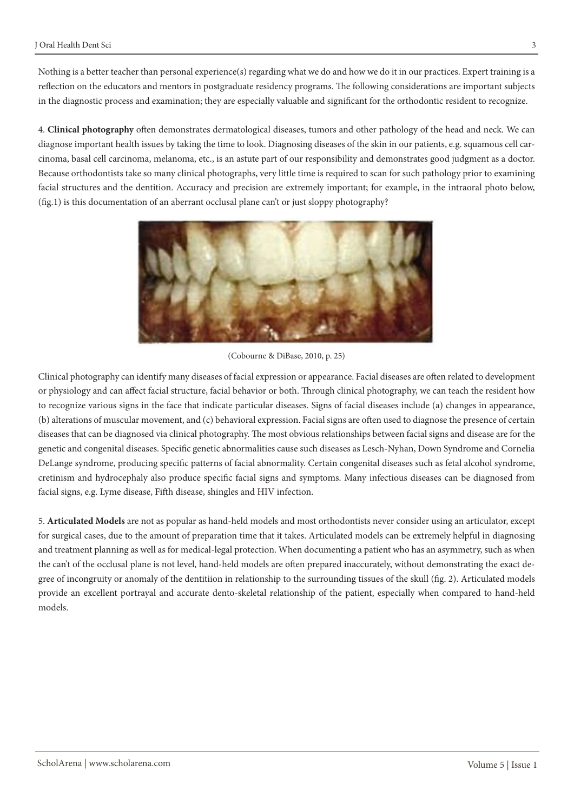Nothing is a better teacher than personal experience(s) regarding what we do and how we do it in our practices. Expert training is a reflection on the educators and mentors in postgraduate residency programs. The following considerations are important subjects in the diagnostic process and examination; they are especially valuable and significant for the orthodontic resident to recognize.

4. **Clinical photography** often demonstrates dermatological diseases, tumors and other pathology of the head and neck. We can diagnose important health issues by taking the time to look. Diagnosing diseases of the skin in our patients, e.g. squamous cell carcinoma, basal cell carcinoma, melanoma, etc., is an astute part of our responsibility and demonstrates good judgment as a doctor. Because orthodontists take so many clinical photographs, very little time is required to scan for such pathology prior to examining facial structures and the dentition. Accuracy and precision are extremely important; for example, in the intraoral photo below, (fig.1) is this documentation of an aberrant occlusal plane can't or just sloppy photography?



(Cobourne & DiBase, 2010, p. 25)

Clinical photography can identify many diseases of facial expression or appearance. Facial diseases are often related to development or physiology and can affect facial structure, facial behavior or both. Through clinical photography, we can teach the resident how to recognize various signs in the face that indicate particular diseases. Signs of facial diseases include (a) changes in appearance, (b) alterations of muscular movement, and (c) behavioral expression. Facial signs are often used to diagnose the presence of certain diseases that can be diagnosed via clinical photography. The most obvious relationships between facial signs and disease are for the genetic and congenital diseases. Specific genetic abnormalities cause such diseases as Lesch-Nyhan, Down Syndrome and Cornelia DeLange syndrome, producing specific patterns of facial abnormality. Certain congenital diseases such as fetal alcohol syndrome, cretinism and hydrocephaly also produce specific facial signs and symptoms. Many infectious diseases can be diagnosed from facial signs, e.g. Lyme disease, Fifth disease, shingles and HIV infection.

5. **Articulated Models** are not as popular as hand-held models and most orthodontists never consider using an articulator, except for surgical cases, due to the amount of preparation time that it takes. Articulated models can be extremely helpful in diagnosing and treatment planning as well as for medical-legal protection. When documenting a patient who has an asymmetry, such as when the can't of the occlusal plane is not level, hand-held models are often prepared inaccurately, without demonstrating the exact degree of incongruity or anomaly of the dentitiion in relationship to the surrounding tissues of the skull (fig. 2). Articulated models provide an excellent portrayal and accurate dento-skeletal relationship of the patient, especially when compared to hand-held models.